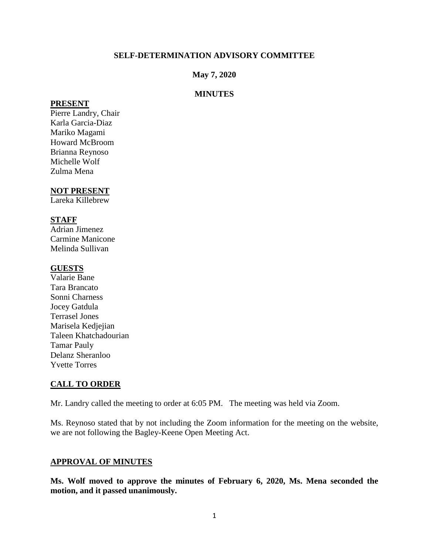### **SELF-DETERMINATION ADVISORY COMMITTEE**

### **May 7, 2020**

### **MINUTES**

#### **PRESENT**

Pierre Landry, Chair Karla Garcia-Diaz Mariko Magami Howard McBroom Brianna Reynoso Michelle Wolf Zulma Mena

### **NOT PRESENT**

Lareka Killebrew

# **STAFF**

Adrian Jimenez Carmine Manicone Melinda Sullivan

### **GUESTS**

Valarie Bane Tara Brancato Sonni Charness Jocey Gatdula Terrasel Jones Marisela Kedjejian Taleen Khatchadourian Tamar Pauly Delanz Sheranloo Yvette Torres

# **CALL TO ORDER**

Mr. Landry called the meeting to order at 6:05 PM. The meeting was held via Zoom.

Ms. Reynoso stated that by not including the Zoom information for the meeting on the website, we are not following the Bagley-Keene Open Meeting Act.

### **APPROVAL OF MINUTES**

**Ms. Wolf moved to approve the minutes of February 6, 2020, Ms. Mena seconded the motion, and it passed unanimously.**